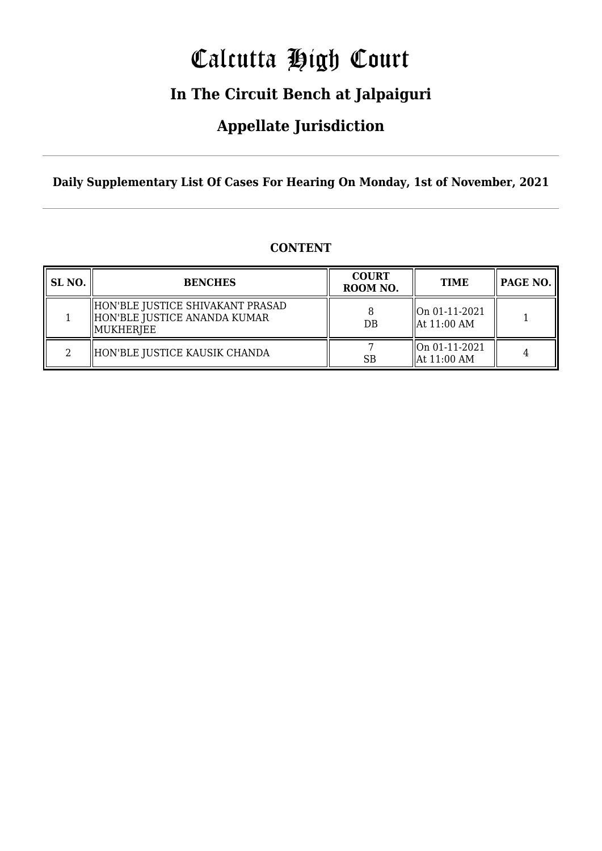# Calcutta High Court

## **In The Circuit Bench at Jalpaiguri**

### **Appellate Jurisdiction**

**Daily Supplementary List Of Cases For Hearing On Monday, 1st of November, 2021**

| SL NO. | <b>BENCHES</b>                                                                 | <b>COURT</b><br>ROOM NO. | <b>TIME</b>                                          | PAGE NO. |
|--------|--------------------------------------------------------------------------------|--------------------------|------------------------------------------------------|----------|
|        | HON'BLE JUSTICE SHIVAKANT PRASAD<br>HON'BLE JUSTICE ANANDA KUMAR<br> MUKHERJEE | $DB$                     | $\parallel$ On 01-11-2021<br>$\parallel$ At 11:00 AM |          |
| റ      | HON'BLE JUSTICE KAUSIK CHANDA                                                  | <b>SB</b>                | On 01-11-2021<br>$\parallel$ At 11:00 AM             |          |

### **CONTENT**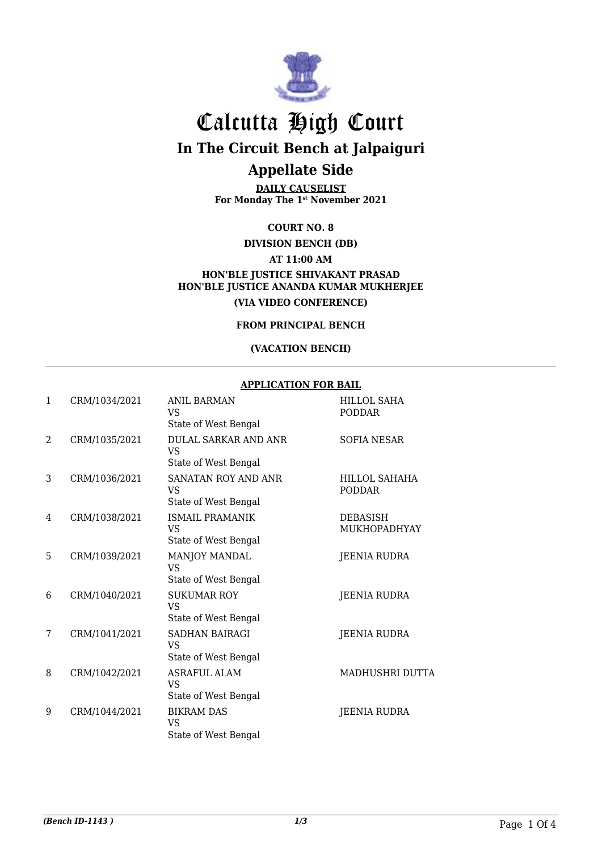

# Calcutta High Court

**In The Circuit Bench at Jalpaiguri**

### **Appellate Side**

**DAILY CAUSELIST For Monday The 1st November 2021**

**COURT NO. 8**

**DIVISION BENCH (DB)**

**AT 11:00 AM**

**HON'BLE JUSTICE SHIVAKANT PRASAD HON'BLE JUSTICE ANANDA KUMAR MUKHERJEE (VIA VIDEO CONFERENCE)**

**FROM PRINCIPAL BENCH**

#### **(VACATION BENCH)**

#### **APPLICATION FOR BAIL**

| 1              | CRM/1034/2021 | <b>ANIL BARMAN</b><br><b>VS</b><br>State of West Bengal   | <b>HILLOL SAHA</b><br><b>PODDAR</b> |
|----------------|---------------|-----------------------------------------------------------|-------------------------------------|
| $\overline{2}$ | CRM/1035/2021 | <b>DULAL SARKAR AND ANR</b><br>VS<br>State of West Bengal | <b>SOFIA NESAR</b>                  |
| 3              | CRM/1036/2021 | <b>SANATAN ROY AND ANR</b><br>VS.<br>State of West Bengal | HILLOL SAHAHA<br><b>PODDAR</b>      |
| 4              | CRM/1038/2021 | <b>ISMAIL PRAMANIK</b><br>VS<br>State of West Bengal      | <b>DEBASISH</b><br>MUKHOPADHYAY     |
| 5              | CRM/1039/2021 | MANJOY MANDAL<br><b>VS</b><br>State of West Bengal        | <b>JEENIA RUDRA</b>                 |
| 6              | CRM/1040/2021 | <b>SUKUMAR ROY</b><br><b>VS</b><br>State of West Bengal   | <b>JEENIA RUDRA</b>                 |
| 7              | CRM/1041/2021 | SADHAN BAIRAGI<br><b>VS</b><br>State of West Bengal       | <b>JEENIA RUDRA</b>                 |
| 8              | CRM/1042/2021 | <b>ASRAFUL ALAM</b><br><b>VS</b><br>State of West Bengal  | MADHUSHRI DUTTA                     |
| 9              | CRM/1044/2021 | <b>BIKRAM DAS</b><br><b>VS</b><br>State of West Bengal    | <b>JEENIA RUDRA</b>                 |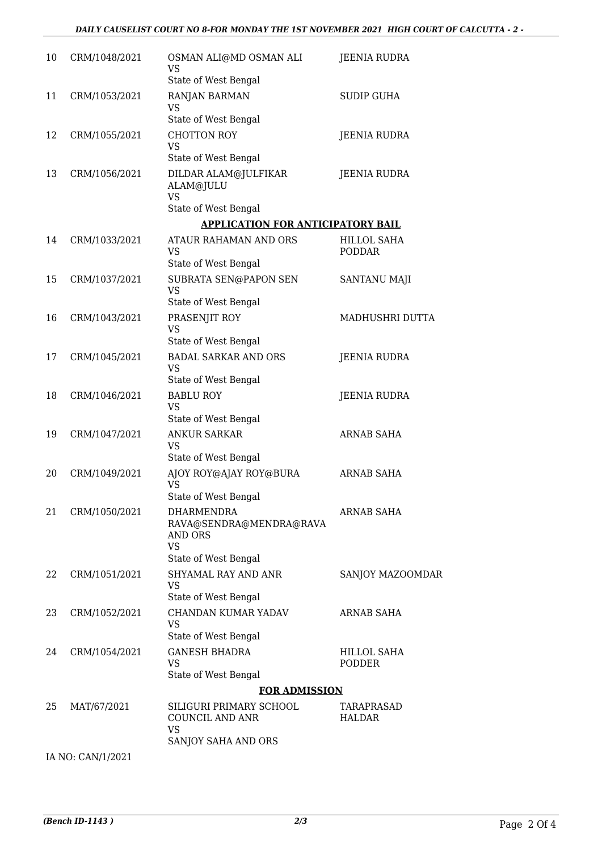| 10 | CRM/1048/2021     | OSMAN ALI@MD OSMAN ALI<br>VS<br>State of West Bengal                                         | <b>JEENIA RUDRA</b>          |
|----|-------------------|----------------------------------------------------------------------------------------------|------------------------------|
| 11 | CRM/1053/2021     | RANJAN BARMAN<br>VS<br>State of West Bengal                                                  | <b>SUDIP GUHA</b>            |
| 12 | CRM/1055/2021     | <b>CHOTTON ROY</b><br><b>VS</b>                                                              | <b>JEENIA RUDRA</b>          |
| 13 | CRM/1056/2021     | State of West Bengal<br>DILDAR ALAM@JULFIKAR<br>ALAM@JULU<br><b>VS</b>                       | <b>JEENIA RUDRA</b>          |
|    |                   | State of West Bengal                                                                         |                              |
|    |                   | <b>APPLICATION FOR ANTICIPATORY BAIL</b>                                                     |                              |
| 14 | CRM/1033/2021     | ATAUR RAHAMAN AND ORS<br>VS<br>State of West Bengal                                          | HILLOL SAHA<br><b>PODDAR</b> |
| 15 | CRM/1037/2021     | SUBRATA SEN@PAPON SEN<br>VS<br>State of West Bengal                                          | <b>SANTANU MAJI</b>          |
| 16 | CRM/1043/2021     | PRASENJIT ROY<br><b>VS</b><br>State of West Bengal                                           | MADHUSHRI DUTTA              |
| 17 | CRM/1045/2021     | <b>BADAL SARKAR AND ORS</b><br>VS<br>State of West Bengal                                    | <b>JEENIA RUDRA</b>          |
| 18 | CRM/1046/2021     | <b>BABLU ROY</b><br><b>VS</b><br>State of West Bengal                                        | <b>JEENIA RUDRA</b>          |
| 19 | CRM/1047/2021     | <b>ANKUR SARKAR</b><br><b>VS</b>                                                             | <b>ARNAB SAHA</b>            |
| 20 | CRM/1049/2021     | State of West Bengal<br>AJOY ROY@AJAY ROY@BURA<br><b>VS</b><br>State of West Bengal          | <b>ARNAB SAHA</b>            |
| 21 | CRM/1050/2021     | DHARMENDRA<br>RAVA@SENDRA@MENDRA@RAVA<br><b>AND ORS</b><br><b>VS</b><br>State of West Bengal | ARNAB SAHA                   |
| 22 | CRM/1051/2021     | <b>SHYAMAL RAY AND ANR</b><br><b>VS</b><br>State of West Bengal                              | SANJOY MAZOOMDAR             |
| 23 | CRM/1052/2021     | CHANDAN KUMAR YADAV<br><b>VS</b><br>State of West Bengal                                     | <b>ARNAB SAHA</b>            |
| 24 | CRM/1054/2021     | <b>GANESH BHADRA</b><br><b>VS</b><br>State of West Bengal                                    | HILLOL SAHA<br><b>PODDER</b> |
|    |                   | <b>FOR ADMISSION</b>                                                                         |                              |
| 25 | MAT/67/2021       | SILIGURI PRIMARY SCHOOL<br>COUNCIL AND ANR<br><b>VS</b><br>SANJOY SAHA AND ORS               | TARAPRASAD<br>HALDAR         |
|    | IA NO: CAN/1/2021 |                                                                                              |                              |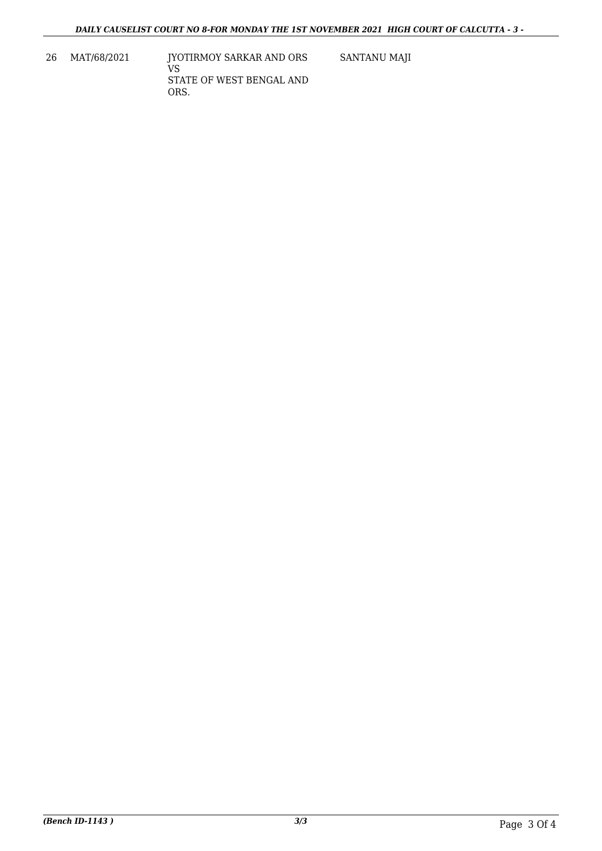26 MAT/68/2021 JYOTIRMOY SARKAR AND ORS VS STATE OF WEST BENGAL AND ORS. SANTANU MAJI